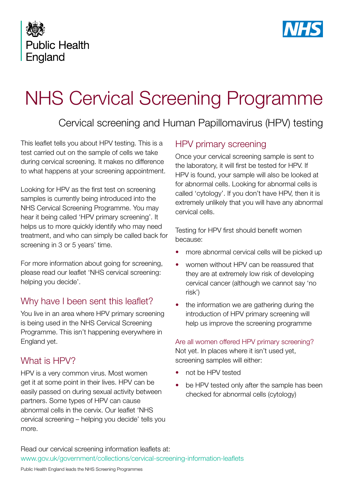



# NHS Cervical Screening Programme

## Cervical screening and Human Papillomavirus (HPV) testing

This leaflet tells you about HPV testing. This is a test carried out on the sample of cells we take during cervical screening. It makes no difference to what happens at your screening appointment.

Looking for HPV as the first test on screening samples is currently being introduced into the NHS Cervical Screening Programme. You may hear it being called 'HPV primary screening'. It helps us to more quickly identify who may need treatment, and who can simply be called back for screening in 3 or 5 years' time.

For more information about going for screening, please read our leaflet 'NHS cervical screening: helping you decide'.

## Why have I been sent this leaflet?

You live in an area where HPV primary screening is being used in the NHS Cervical Screening Programme. This isn't happening everywhere in England yet.

## What is HPV?

HPV is a very common virus. Most women get it at some point in their lives. HPV can be easily passed on during sexual activity between partners. Some types of HPV can cause abnormal cells in the cervix. Our leaflet 'NHS cervical screening – helping you decide' tells you more.

## HPV primary screening

Once your cervical screening sample is sent to the laboratory, it will first be tested for HPV. If HPV is found, your sample will also be looked at for abnormal cells. Looking for abnormal cells is called 'cytology'. If you don't have HPV, then it is extremely unlikely that you will have any abnormal cervical cells.

Testing for HPV first should benefit women because:

- more abnormal cervical cells will be picked up
- women without HPV can be reassured that they are at extremely low risk of developing cervical cancer (although we cannot say 'no risk')
- the information we are gathering during the introduction of HPV primary screening will help us improve the screening programme

Are all women offered HPV primary screening? Not yet. In places where it isn't used yet, screening samples will either:

- not be HPV tested
- be HPV tested only after the sample has been checked for abnormal cells (cytology)

Read our cervical screening information leaflets at: [www.gov.uk/government/collections/cervical-screening-information-leaflets](http://www.gov.uk/government/collections/cervical-screening-information-leaflets)